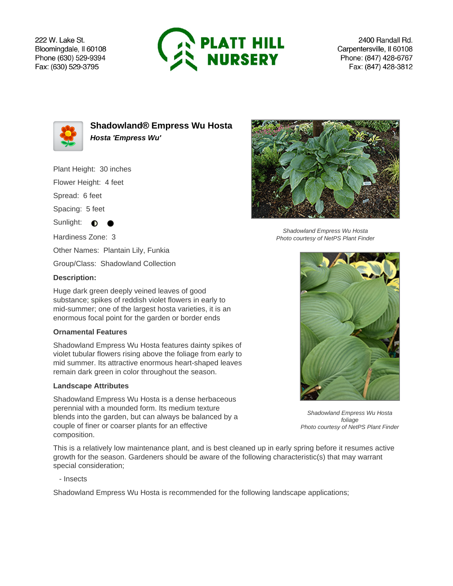222 W. Lake St. Bloomingdale, Il 60108 Phone (630) 529-9394 Fax: (630) 529-3795



2400 Randall Rd. Carpentersville, Il 60108 Phone: (847) 428-6767 Fax: (847) 428-3812



**Shadowland® Empress Wu Hosta Hosta 'Empress Wu'**

Plant Height: 30 inches

Flower Height: 4 feet

Spread: 6 feet

Spacing: 5 feet

Sunlight:  $\bullet$ 

Hardiness Zone: 3

Other Names: Plantain Lily, Funkia

Group/Class: Shadowland Collection

## **Description:**

Huge dark green deeply veined leaves of good substance; spikes of reddish violet flowers in early to mid-summer; one of the largest hosta varieties, it is an enormous focal point for the garden or border ends

## **Ornamental Features**

Shadowland Empress Wu Hosta features dainty spikes of violet tubular flowers rising above the foliage from early to mid summer. Its attractive enormous heart-shaped leaves remain dark green in color throughout the season.

## **Landscape Attributes**

Shadowland Empress Wu Hosta is a dense herbaceous perennial with a mounded form. Its medium texture blends into the garden, but can always be balanced by a couple of finer or coarser plants for an effective composition.

This is a relatively low maintenance plant, and is best cleaned up in early spring before it resumes active growth for the season. Gardeners should be aware of the following characteristic(s) that may warrant special consideration;

- Insects

Shadowland Empress Wu Hosta is recommended for the following landscape applications;



Shadowland Empress Wu Hosta Photo courtesy of NetPS Plant Finder



Shadowland Empress Wu Hosta foliage Photo courtesy of NetPS Plant Finder